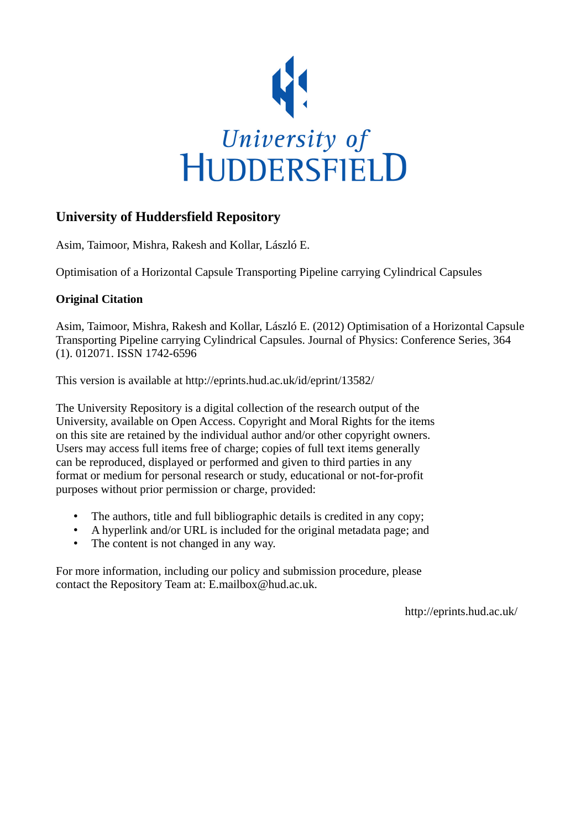

# **University of Huddersfield Repository**

Asim, Taimoor, Mishra, Rakesh and Kollar, László E.

Optimisation of a Horizontal Capsule Transporting Pipeline carrying Cylindrical Capsules

# **Original Citation**

Asim, Taimoor, Mishra, Rakesh and Kollar, László E. (2012) Optimisation of a Horizontal Capsule Transporting Pipeline carrying Cylindrical Capsules. Journal of Physics: Conference Series, 364 (1). 012071. ISSN 1742-6596

This version is available at http://eprints.hud.ac.uk/id/eprint/13582/

The University Repository is a digital collection of the research output of the University, available on Open Access. Copyright and Moral Rights for the items on this site are retained by the individual author and/or other copyright owners. Users may access full items free of charge; copies of full text items generally can be reproduced, displayed or performed and given to third parties in any format or medium for personal research or study, educational or not-for-profit purposes without prior permission or charge, provided:

- The authors, title and full bibliographic details is credited in any copy;
- A hyperlink and/or URL is included for the original metadata page; and
- The content is not changed in any way.

For more information, including our policy and submission procedure, please contact the Repository Team at: E.mailbox@hud.ac.uk.

http://eprints.hud.ac.uk/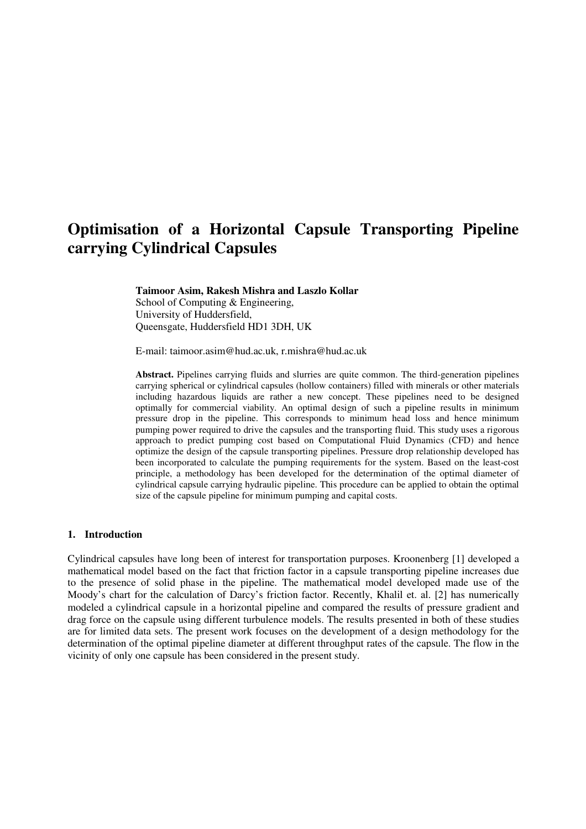# **Optimisation of a Horizontal Capsule Transporting Pipeline carrying Cylindrical Capsules**

**Taimoor Asim, Rakesh Mishra and Laszlo Kollar**  School of Computing & Engineering, University of Huddersfield, Queensgate, Huddersfield HD1 3DH, UK

E-mail: taimoor.asim@hud.ac.uk, r.mishra@hud.ac.uk

**Abstract.** Pipelines carrying fluids and slurries are quite common. The third-generation pipelines carrying spherical or cylindrical capsules (hollow containers) filled with minerals or other materials including hazardous liquids are rather a new concept. These pipelines need to be designed optimally for commercial viability. An optimal design of such a pipeline results in minimum pressure drop in the pipeline. This corresponds to minimum head loss and hence minimum pumping power required to drive the capsules and the transporting fluid. This study uses a rigorous approach to predict pumping cost based on Computational Fluid Dynamics (CFD) and hence optimize the design of the capsule transporting pipelines. Pressure drop relationship developed has been incorporated to calculate the pumping requirements for the system. Based on the least-cost principle, a methodology has been developed for the determination of the optimal diameter of cylindrical capsule carrying hydraulic pipeline. This procedure can be applied to obtain the optimal size of the capsule pipeline for minimum pumping and capital costs.

## **1. Introduction**

Cylindrical capsules have long been of interest for transportation purposes. Kroonenberg [1] developed a mathematical model based on the fact that friction factor in a capsule transporting pipeline increases due to the presence of solid phase in the pipeline. The mathematical model developed made use of the Moody's chart for the calculation of Darcy's friction factor. Recently, Khalil et. al. [2] has numerically modeled a cylindrical capsule in a horizontal pipeline and compared the results of pressure gradient and drag force on the capsule using different turbulence models. The results presented in both of these studies are for limited data sets. The present work focuses on the development of a design methodology for the determination of the optimal pipeline diameter at different throughput rates of the capsule. The flow in the vicinity of only one capsule has been considered in the present study.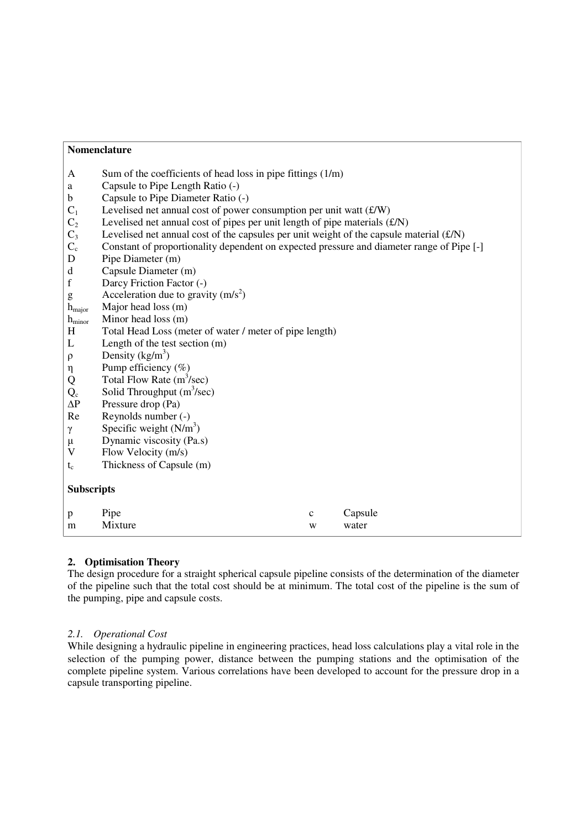| Sum of the coefficients of head loss in pipe fittings $(1/m)$<br>A<br>Capsule to Pipe Length Ratio (-)<br>a<br>Capsule to Pipe Diameter Ratio (-)<br>$\mathbf b$<br>$\mathbf{C}_1$<br>Levelised net annual cost of power consumption per unit watt $(f/W)$<br>Levelised net annual cost of pipes per unit length of pipe materials $(f/N)$<br>C <sub>2</sub><br>$C_3$<br>Levelised net annual cost of the capsules per unit weight of the capsule material $(f/N)$<br>$C_{c}$<br>Constant of proportionality dependent on expected pressure and diameter range of Pipe [-]<br>Pipe Diameter (m)<br>D<br>Capsule Diameter (m)<br>d<br>$\mathbf f$<br>Darcy Friction Factor (-)<br>Acceleration due to gravity $(m/s^2)$<br>$\mathbf{g}% _{0}$<br>Major head loss (m)<br>$h_{\text{major}}$<br>Minor head loss (m)<br>$h_{\text{minor}}$<br>Total Head Loss (meter of water / meter of pipe length)<br>H<br>Length of the test section $(m)$<br>L<br>Density $(kg/m^3)$<br>$\rho$<br>Pump efficiency (%)<br>η<br>Total Flow Rate $(m^3/sec)$<br>Q<br>Solid Throughput $(m^3/sec)$<br>$Q_c$<br>$\Delta P$<br>Pressure drop (Pa)<br>Reynolds number (-)<br>Re<br>Specific weight $(N/m3)$<br>γ<br>Dynamic viscosity (Pa.s)<br>$\mu$<br>$\mathbf{V}$<br>Flow Velocity (m/s)<br>Thickness of Capsule (m)<br>$t_c$<br><b>Subscripts</b><br>Capsule<br>Pipe<br>$\mathbf c$<br>p<br>Mixture<br>water<br>m<br>W |  | Nomenclature |  |  |  |  |
|-------------------------------------------------------------------------------------------------------------------------------------------------------------------------------------------------------------------------------------------------------------------------------------------------------------------------------------------------------------------------------------------------------------------------------------------------------------------------------------------------------------------------------------------------------------------------------------------------------------------------------------------------------------------------------------------------------------------------------------------------------------------------------------------------------------------------------------------------------------------------------------------------------------------------------------------------------------------------------------------------------------------------------------------------------------------------------------------------------------------------------------------------------------------------------------------------------------------------------------------------------------------------------------------------------------------------------------------------------------------------------------------------------|--|--------------|--|--|--|--|
|                                                                                                                                                                                                                                                                                                                                                                                                                                                                                                                                                                                                                                                                                                                                                                                                                                                                                                                                                                                                                                                                                                                                                                                                                                                                                                                                                                                                       |  |              |  |  |  |  |
|                                                                                                                                                                                                                                                                                                                                                                                                                                                                                                                                                                                                                                                                                                                                                                                                                                                                                                                                                                                                                                                                                                                                                                                                                                                                                                                                                                                                       |  |              |  |  |  |  |
|                                                                                                                                                                                                                                                                                                                                                                                                                                                                                                                                                                                                                                                                                                                                                                                                                                                                                                                                                                                                                                                                                                                                                                                                                                                                                                                                                                                                       |  |              |  |  |  |  |
|                                                                                                                                                                                                                                                                                                                                                                                                                                                                                                                                                                                                                                                                                                                                                                                                                                                                                                                                                                                                                                                                                                                                                                                                                                                                                                                                                                                                       |  |              |  |  |  |  |
|                                                                                                                                                                                                                                                                                                                                                                                                                                                                                                                                                                                                                                                                                                                                                                                                                                                                                                                                                                                                                                                                                                                                                                                                                                                                                                                                                                                                       |  |              |  |  |  |  |
|                                                                                                                                                                                                                                                                                                                                                                                                                                                                                                                                                                                                                                                                                                                                                                                                                                                                                                                                                                                                                                                                                                                                                                                                                                                                                                                                                                                                       |  |              |  |  |  |  |
|                                                                                                                                                                                                                                                                                                                                                                                                                                                                                                                                                                                                                                                                                                                                                                                                                                                                                                                                                                                                                                                                                                                                                                                                                                                                                                                                                                                                       |  |              |  |  |  |  |
|                                                                                                                                                                                                                                                                                                                                                                                                                                                                                                                                                                                                                                                                                                                                                                                                                                                                                                                                                                                                                                                                                                                                                                                                                                                                                                                                                                                                       |  |              |  |  |  |  |
|                                                                                                                                                                                                                                                                                                                                                                                                                                                                                                                                                                                                                                                                                                                                                                                                                                                                                                                                                                                                                                                                                                                                                                                                                                                                                                                                                                                                       |  |              |  |  |  |  |
|                                                                                                                                                                                                                                                                                                                                                                                                                                                                                                                                                                                                                                                                                                                                                                                                                                                                                                                                                                                                                                                                                                                                                                                                                                                                                                                                                                                                       |  |              |  |  |  |  |
|                                                                                                                                                                                                                                                                                                                                                                                                                                                                                                                                                                                                                                                                                                                                                                                                                                                                                                                                                                                                                                                                                                                                                                                                                                                                                                                                                                                                       |  |              |  |  |  |  |
|                                                                                                                                                                                                                                                                                                                                                                                                                                                                                                                                                                                                                                                                                                                                                                                                                                                                                                                                                                                                                                                                                                                                                                                                                                                                                                                                                                                                       |  |              |  |  |  |  |
|                                                                                                                                                                                                                                                                                                                                                                                                                                                                                                                                                                                                                                                                                                                                                                                                                                                                                                                                                                                                                                                                                                                                                                                                                                                                                                                                                                                                       |  |              |  |  |  |  |
|                                                                                                                                                                                                                                                                                                                                                                                                                                                                                                                                                                                                                                                                                                                                                                                                                                                                                                                                                                                                                                                                                                                                                                                                                                                                                                                                                                                                       |  |              |  |  |  |  |
|                                                                                                                                                                                                                                                                                                                                                                                                                                                                                                                                                                                                                                                                                                                                                                                                                                                                                                                                                                                                                                                                                                                                                                                                                                                                                                                                                                                                       |  |              |  |  |  |  |
|                                                                                                                                                                                                                                                                                                                                                                                                                                                                                                                                                                                                                                                                                                                                                                                                                                                                                                                                                                                                                                                                                                                                                                                                                                                                                                                                                                                                       |  |              |  |  |  |  |
|                                                                                                                                                                                                                                                                                                                                                                                                                                                                                                                                                                                                                                                                                                                                                                                                                                                                                                                                                                                                                                                                                                                                                                                                                                                                                                                                                                                                       |  |              |  |  |  |  |
|                                                                                                                                                                                                                                                                                                                                                                                                                                                                                                                                                                                                                                                                                                                                                                                                                                                                                                                                                                                                                                                                                                                                                                                                                                                                                                                                                                                                       |  |              |  |  |  |  |
|                                                                                                                                                                                                                                                                                                                                                                                                                                                                                                                                                                                                                                                                                                                                                                                                                                                                                                                                                                                                                                                                                                                                                                                                                                                                                                                                                                                                       |  |              |  |  |  |  |
|                                                                                                                                                                                                                                                                                                                                                                                                                                                                                                                                                                                                                                                                                                                                                                                                                                                                                                                                                                                                                                                                                                                                                                                                                                                                                                                                                                                                       |  |              |  |  |  |  |
|                                                                                                                                                                                                                                                                                                                                                                                                                                                                                                                                                                                                                                                                                                                                                                                                                                                                                                                                                                                                                                                                                                                                                                                                                                                                                                                                                                                                       |  |              |  |  |  |  |
|                                                                                                                                                                                                                                                                                                                                                                                                                                                                                                                                                                                                                                                                                                                                                                                                                                                                                                                                                                                                                                                                                                                                                                                                                                                                                                                                                                                                       |  |              |  |  |  |  |
|                                                                                                                                                                                                                                                                                                                                                                                                                                                                                                                                                                                                                                                                                                                                                                                                                                                                                                                                                                                                                                                                                                                                                                                                                                                                                                                                                                                                       |  |              |  |  |  |  |
|                                                                                                                                                                                                                                                                                                                                                                                                                                                                                                                                                                                                                                                                                                                                                                                                                                                                                                                                                                                                                                                                                                                                                                                                                                                                                                                                                                                                       |  |              |  |  |  |  |
|                                                                                                                                                                                                                                                                                                                                                                                                                                                                                                                                                                                                                                                                                                                                                                                                                                                                                                                                                                                                                                                                                                                                                                                                                                                                                                                                                                                                       |  |              |  |  |  |  |
|                                                                                                                                                                                                                                                                                                                                                                                                                                                                                                                                                                                                                                                                                                                                                                                                                                                                                                                                                                                                                                                                                                                                                                                                                                                                                                                                                                                                       |  |              |  |  |  |  |
|                                                                                                                                                                                                                                                                                                                                                                                                                                                                                                                                                                                                                                                                                                                                                                                                                                                                                                                                                                                                                                                                                                                                                                                                                                                                                                                                                                                                       |  |              |  |  |  |  |
|                                                                                                                                                                                                                                                                                                                                                                                                                                                                                                                                                                                                                                                                                                                                                                                                                                                                                                                                                                                                                                                                                                                                                                                                                                                                                                                                                                                                       |  |              |  |  |  |  |

# **2. Optimisation Theory**

The design procedure for a straight spherical capsule pipeline consists of the determination of the diameter of the pipeline such that the total cost should be at minimum. The total cost of the pipeline is the sum of the pumping, pipe and capsule costs.

## *2.1. Operational Cost*

While designing a hydraulic pipeline in engineering practices, head loss calculations play a vital role in the selection of the pumping power, distance between the pumping stations and the optimisation of the complete pipeline system. Various correlations have been developed to account for the pressure drop in a capsule transporting pipeline.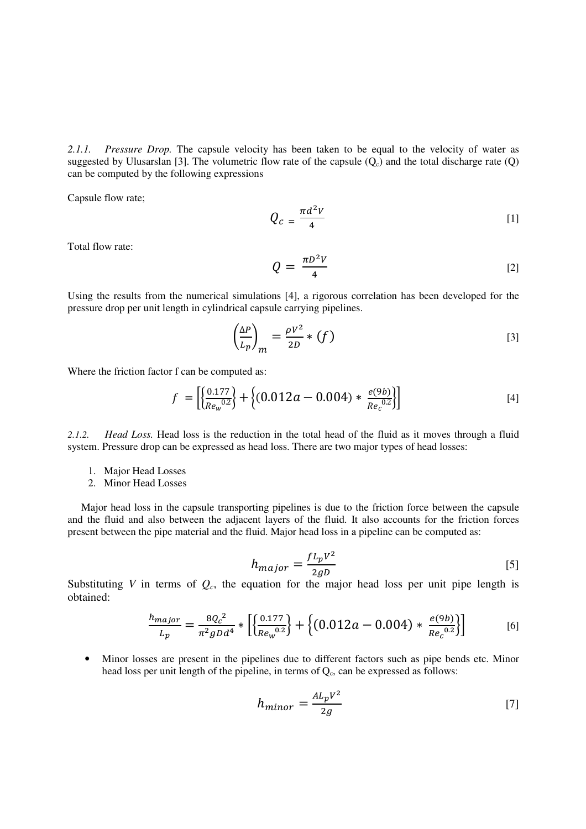*2.1.1. Pressure Drop.* The capsule velocity has been taken to be equal to the velocity of water as suggested by Ulusarslan [3]. The volumetric flow rate of the capsule  $(Q<sub>c</sub>)$  and the total discharge rate  $(Q)$ can be computed by the following expressions

Capsule flow rate;

$$
Q_c = \frac{\pi d^2 V}{4} \tag{1}
$$

Total flow rate:

$$
Q = \frac{\pi D^2 V}{4} \tag{2}
$$

Using the results from the numerical simulations [4], a rigorous correlation has been developed for the pressure drop per unit length in cylindrical capsule carrying pipelines.

$$
\left(\frac{\Delta P}{L_p}\right)_m = \frac{\rho V^2}{2D} * (f) \tag{3}
$$

Where the friction factor f can be computed as:

$$
f = \left[ \left\{ \frac{0.177}{Re_w^{0.2}} \right\} + \left\{ (0.012a - 0.004) * \frac{e(9b)}{Re_c^{0.2}} \right\} \right]
$$
 [4]

*2.1.2. Head Loss.* Head loss is the reduction in the total head of the fluid as it moves through a fluid system. Pressure drop can be expressed as head loss. There are two major types of head losses:

- 1. Major Head Losses
- 2. Minor Head Losses

Major head loss in the capsule transporting pipelines is due to the friction force between the capsule and the fluid and also between the adjacent layers of the fluid. It also accounts for the friction forces present between the pipe material and the fluid. Major head loss in a pipeline can be computed as:

$$
h_{major} = \frac{f L_p V^2}{2gD} \tag{5}
$$

Substituting *V* in terms of  $Q_c$ , the equation for the major head loss per unit pipe length is obtained:

$$
\frac{h_{major}}{L_p} = \frac{8Q_c^2}{\pi^2 g D d^4} * \left[ \left\{ \frac{0.177}{Re_w^{0.2}} \right\} + \left\{ (0.012a - 0.004) * \frac{e(9b)}{Re_c^{0.2}} \right\} \right]
$$
 [6]

• Minor losses are present in the pipelines due to different factors such as pipe bends etc. Minor head loss per unit length of the pipeline, in terms of  $Q_c$ , can be expressed as follows:

$$
h_{minor} = \frac{AL_pV^2}{2g} \tag{7}
$$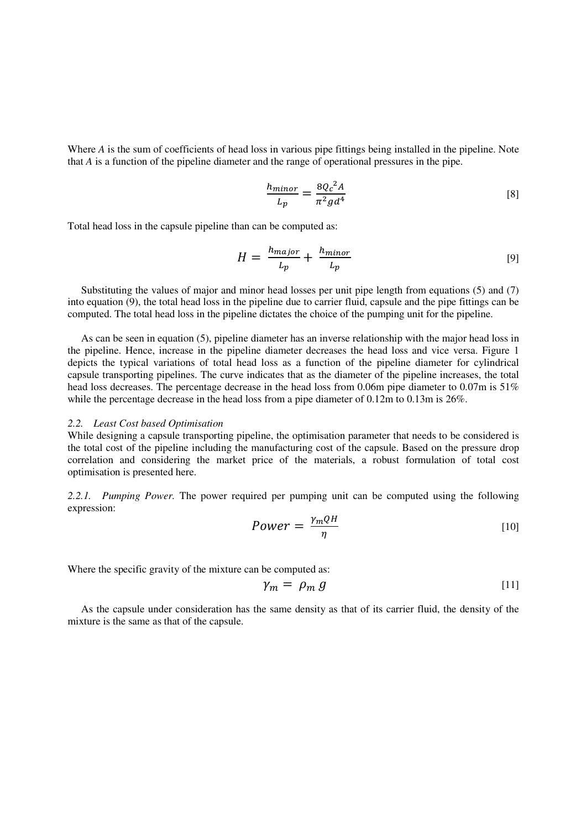Where *A* is the sum of coefficients of head loss in various pipe fittings being installed in the pipeline. Note that *A* is a function of the pipeline diameter and the range of operational pressures in the pipe.

$$
\frac{h_{minor}}{L_p} = \frac{8Q_c{}^2 A}{\pi^2 g d^4} \tag{8}
$$

Total head loss in the capsule pipeline than can be computed as:

$$
H = \frac{h_{major}}{L_p} + \frac{h_{minor}}{L_p} \tag{9}
$$

Substituting the values of major and minor head losses per unit pipe length from equations (5) and (7) into equation (9), the total head loss in the pipeline due to carrier fluid, capsule and the pipe fittings can be computed. The total head loss in the pipeline dictates the choice of the pumping unit for the pipeline.

As can be seen in equation (5), pipeline diameter has an inverse relationship with the major head loss in the pipeline. Hence, increase in the pipeline diameter decreases the head loss and vice versa. Figure 1 depicts the typical variations of total head loss as a function of the pipeline diameter for cylindrical capsule transporting pipelines. The curve indicates that as the diameter of the pipeline increases, the total head loss decreases. The percentage decrease in the head loss from 0.06m pipe diameter to 0.07m is 51% while the percentage decrease in the head loss from a pipe diameter of 0.12m to 0.13m is 26%.

#### *2.2. Least Cost based Optimisation*

While designing a capsule transporting pipeline, the optimisation parameter that needs to be considered is the total cost of the pipeline including the manufacturing cost of the capsule. Based on the pressure drop correlation and considering the market price of the materials, a robust formulation of total cost optimisation is presented here.

*2.2.1. Pumping Power.* The power required per pumping unit can be computed using the following expression:

$$
Power = \frac{\gamma_m Q H}{\eta} \tag{10}
$$

Where the specific gravity of the mixture can be computed as:

$$
\gamma_m = \rho_m \, g \tag{11}
$$

As the capsule under consideration has the same density as that of its carrier fluid, the density of the mixture is the same as that of the capsule.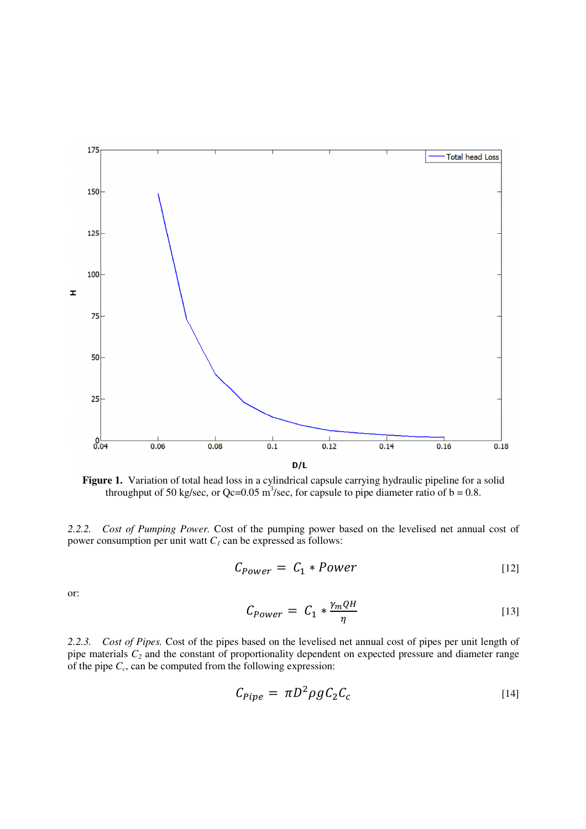

Figure 1. Variation of total head loss in a cylindrical capsule carrying hydraulic pipeline for a solid throughput of 50 kg/sec, or Qc=0.05 m<sup>3</sup>/sec, for capsule to pipe diameter ratio of  $b = 0.8$ .

*2.2.2. Cost of Pumping Power.* Cost of the pumping power based on the levelised net annual cost of power consumption per unit watt  $C<sub>1</sub>$  can be expressed as follows:

$$
C_{Power} = C_1 * Power \tag{12}
$$

or:

$$
C_{Power} = C_1 * \frac{\gamma_m Q H}{\eta} \tag{13}
$$

*2.2.3. Cost of Pipes.* Cost of the pipes based on the levelised net annual cost of pipes per unit length of pipe materials *C2* and the constant of proportionality dependent on expected pressure and diameter range of the pipe *C<sup>c</sup>* , can be computed from the following expression:

$$
C_{pipe} = \pi D^2 \rho g C_2 C_c \tag{14}
$$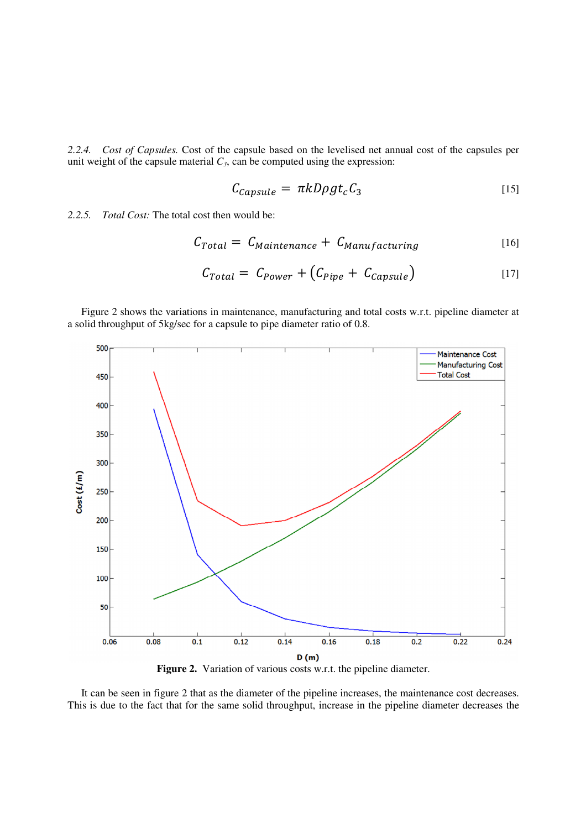*2.2.4. Cost of Capsules.* Cost of the capsule based on the levelised net annual cost of the capsules per unit weight of the capsule material  $C_3$ , can be computed using the expression:

$$
C_{Capsule} = \pi k D\rho g t_c C_3 \tag{15}
$$

*2.2.5. Total Cost:* The total cost then would be:

$$
C_{Total} = C_{Maintenance} + C_{Manufacturing}
$$
 [16]

$$
C_{Total} = C_{Power} + (C_{Pipe} + C_{Capsule})
$$
\n<sup>[17]</sup>

Figure 2 shows the variations in maintenance, manufacturing and total costs w.r.t. pipeline diameter at a solid throughput of 5kg/sec for a capsule to pipe diameter ratio of 0.8.



Figure 2. Variation of various costs w.r.t. the pipeline diameter.

It can be seen in figure 2 that as the diameter of the pipeline increases, the maintenance cost decreases. This is due to the fact that for the same solid throughput, increase in the pipeline diameter decreases the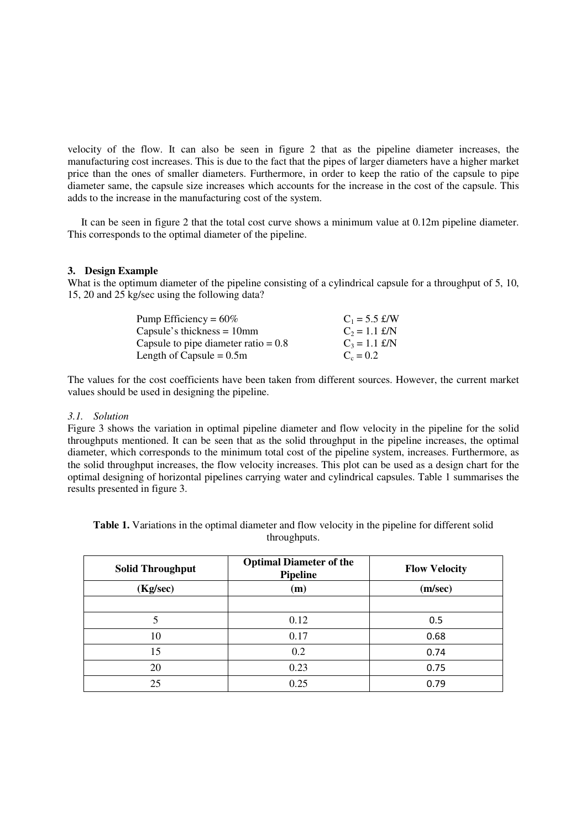velocity of the flow. It can also be seen in figure 2 that as the pipeline diameter increases, the manufacturing cost increases. This is due to the fact that the pipes of larger diameters have a higher market price than the ones of smaller diameters. Furthermore, in order to keep the ratio of the capsule to pipe diameter same, the capsule size increases which accounts for the increase in the cost of the capsule. This adds to the increase in the manufacturing cost of the system.

It can be seen in figure 2 that the total cost curve shows a minimum value at 0.12m pipeline diameter. This corresponds to the optimal diameter of the pipeline.

#### **3. Design Example**

What is the optimum diameter of the pipeline consisting of a cylindrical capsule for a throughput of 5, 10, 15, 20 and 25 kg/sec using the following data?

| Pump Efficiency = $60\%$               | $C_1 = 5.5$ £/W |
|----------------------------------------|-----------------|
| Capsule's thickness $= 10$ mm          | $C_2 = 1.1$ £/N |
| Capsule to pipe diameter ratio = $0.8$ | $C_3 = 1.1$ £/N |
| Length of Capsule = $0.5m$             | $C_c = 0.2$     |

The values for the cost coefficients have been taken from different sources. However, the current market values should be used in designing the pipeline.

## *3.1. Solution*

Figure 3 shows the variation in optimal pipeline diameter and flow velocity in the pipeline for the solid throughputs mentioned. It can be seen that as the solid throughput in the pipeline increases, the optimal diameter, which corresponds to the minimum total cost of the pipeline system, increases. Furthermore, as the solid throughput increases, the flow velocity increases. This plot can be used as a design chart for the optimal designing of horizontal pipelines carrying water and cylindrical capsules. Table 1 summarises the results presented in figure 3.

**Table 1.** Variations in the optimal diameter and flow velocity in the pipeline for different solid throughputs.

| <b>Solid Throughput</b> | <b>Optimal Diameter of the</b><br>Pipeline | <b>Flow Velocity</b> |
|-------------------------|--------------------------------------------|----------------------|
| (Kg/sec)                | (m)                                        | (m/sec)              |
|                         |                                            |                      |
| 5                       | 0.12                                       | 0.5                  |
| 10                      | 0.17                                       | 0.68                 |
| 15                      | 0.2                                        | 0.74                 |
| 20                      | 0.23                                       | 0.75                 |
| 25                      | 0.25                                       | 0.79                 |